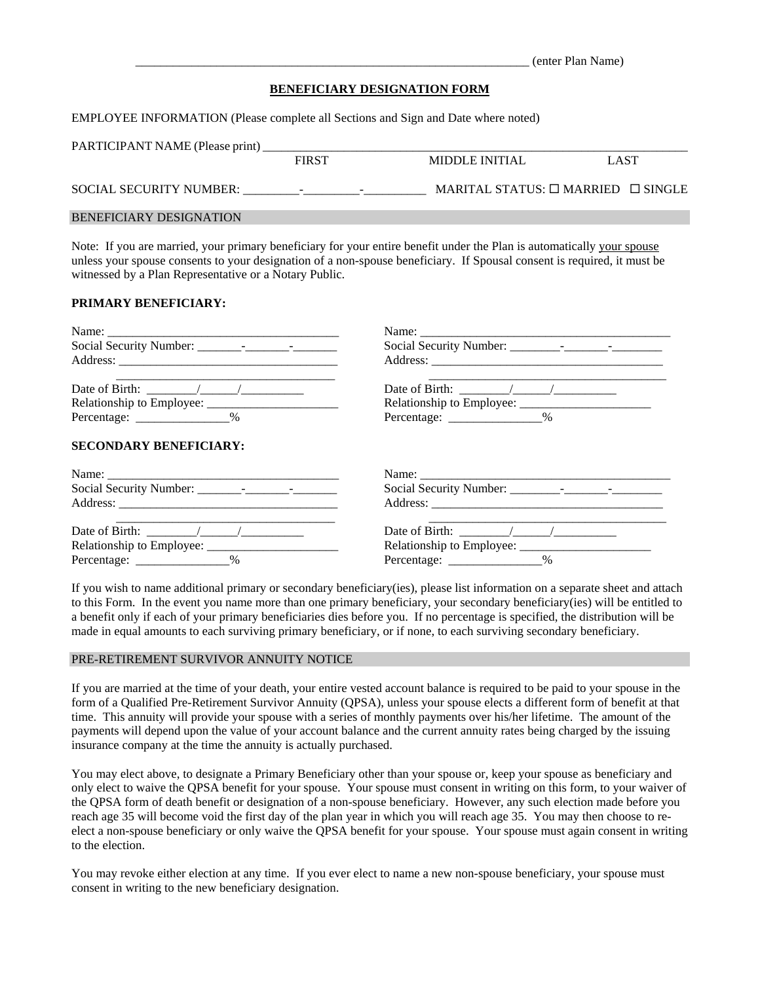|                                     | (enter Plan Name) |
|-------------------------------------|-------------------|
| <b>BENEFICIARY DESIGNATION FORM</b> |                   |

EMPLOYEE INFORMATION (Please complete all Sections and Sign and Date where noted)

| PARTICIPANT NAME (Please print) |              |                          |                                                    |             |
|---------------------------------|--------------|--------------------------|----------------------------------------------------|-------------|
|                                 | <b>FIRST</b> |                          | MIDDLE INITIAL                                     | <b>LAST</b> |
| SOCIAL SECURITY NUMBER:         | $\sim$       | $\overline{\phantom{0}}$ | MARITAL STATUS: $\square$ MARRIED $\square$ SINGLE |             |
| <b>BENEFICIARY DESIGNATION</b>  |              |                          |                                                    |             |

Note: If you are married, your primary beneficiary for your entire benefit under the Plan is automatically your spouse unless your spouse consents to your designation of a non-spouse beneficiary. If Spousal consent is required, it must be witnessed by a Plan Representative or a Notary Public.

## **PRIMARY BENEFICIARY:**

| Percentage: _________________% | Percentage: ________________% |
|--------------------------------|-------------------------------|
| <b>SECONDARY BENEFICIARY:</b>  | Name:                         |
|                                |                               |
|                                |                               |
|                                |                               |
|                                |                               |
| Percentage: _______________%   | Percentage: ________________% |

If you wish to name additional primary or secondary beneficiary(ies), please list information on a separate sheet and attach to this Form. In the event you name more than one primary beneficiary, your secondary beneficiary(ies) will be entitled to a benefit only if each of your primary beneficiaries dies before you. If no percentage is specified, the distribution will be made in equal amounts to each surviving primary beneficiary, or if none, to each surviving secondary beneficiary.

### PRE-RETIREMENT SURVIVOR ANNUITY NOTICE

If you are married at the time of your death, your entire vested account balance is required to be paid to your spouse in the form of a Qualified Pre-Retirement Survivor Annuity (QPSA), unless your spouse elects a different form of benefit at that time. This annuity will provide your spouse with a series of monthly payments over his/her lifetime. The amount of the payments will depend upon the value of your account balance and the current annuity rates being charged by the issuing insurance company at the time the annuity is actually purchased.

You may elect above, to designate a Primary Beneficiary other than your spouse or, keep your spouse as beneficiary and only elect to waive the QPSA benefit for your spouse. Your spouse must consent in writing on this form, to your waiver of the QPSA form of death benefit or designation of a non-spouse beneficiary. However, any such election made before you reach age 35 will become void the first day of the plan year in which you will reach age 35. You may then choose to reelect a non-spouse beneficiary or only waive the QPSA benefit for your spouse. Your spouse must again consent in writing to the election.

You may revoke either election at any time. If you ever elect to name a new non-spouse beneficiary, your spouse must consent in writing to the new beneficiary designation.